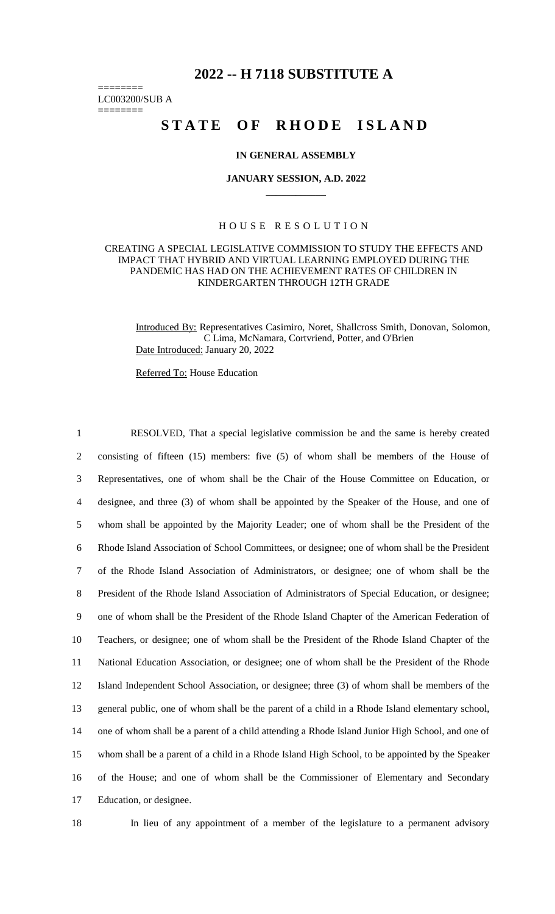# **2022 -- H 7118 SUBSTITUTE A**

======== LC003200/SUB A

========

# STATE OF RHODE ISLAND

## **IN GENERAL ASSEMBLY**

#### **JANUARY SESSION, A.D. 2022 \_\_\_\_\_\_\_\_\_\_\_\_**

# H O U S E R E S O L U T I O N

## CREATING A SPECIAL LEGISLATIVE COMMISSION TO STUDY THE EFFECTS AND IMPACT THAT HYBRID AND VIRTUAL LEARNING EMPLOYED DURING THE PANDEMIC HAS HAD ON THE ACHIEVEMENT RATES OF CHILDREN IN KINDERGARTEN THROUGH 12TH GRADE

Introduced By: Representatives Casimiro, Noret, Shallcross Smith, Donovan, Solomon, C Lima, McNamara, Cortvriend, Potter, and O'Brien Date Introduced: January 20, 2022

Referred To: House Education

 RESOLVED, That a special legislative commission be and the same is hereby created consisting of fifteen (15) members: five (5) of whom shall be members of the House of Representatives, one of whom shall be the Chair of the House Committee on Education, or designee, and three (3) of whom shall be appointed by the Speaker of the House, and one of whom shall be appointed by the Majority Leader; one of whom shall be the President of the Rhode Island Association of School Committees, or designee; one of whom shall be the President of the Rhode Island Association of Administrators, or designee; one of whom shall be the President of the Rhode Island Association of Administrators of Special Education, or designee; one of whom shall be the President of the Rhode Island Chapter of the American Federation of Teachers, or designee; one of whom shall be the President of the Rhode Island Chapter of the National Education Association, or designee; one of whom shall be the President of the Rhode Island Independent School Association, or designee; three (3) of whom shall be members of the general public, one of whom shall be the parent of a child in a Rhode Island elementary school, one of whom shall be a parent of a child attending a Rhode Island Junior High School, and one of whom shall be a parent of a child in a Rhode Island High School, to be appointed by the Speaker of the House; and one of whom shall be the Commissioner of Elementary and Secondary Education, or designee.

18 In lieu of any appointment of a member of the legislature to a permanent advisory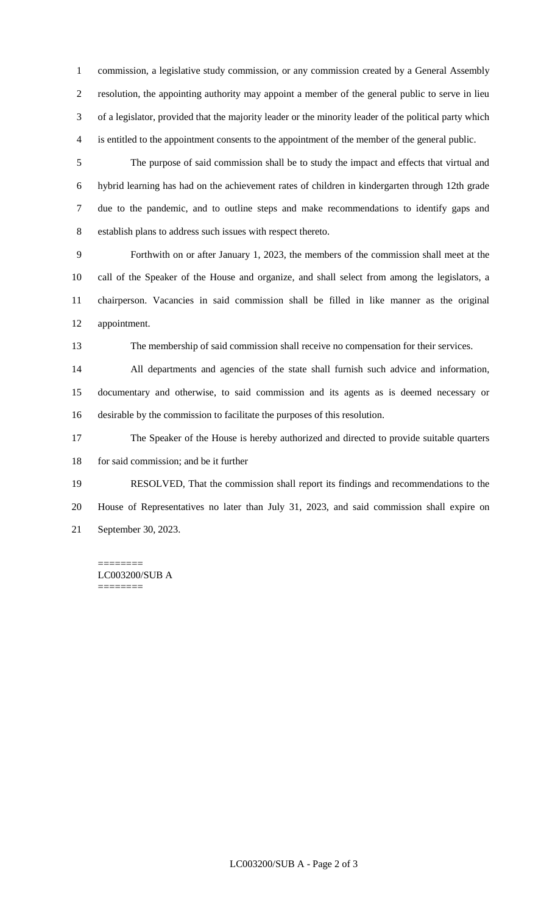commission, a legislative study commission, or any commission created by a General Assembly resolution, the appointing authority may appoint a member of the general public to serve in lieu of a legislator, provided that the majority leader or the minority leader of the political party which is entitled to the appointment consents to the appointment of the member of the general public.

 The purpose of said commission shall be to study the impact and effects that virtual and hybrid learning has had on the achievement rates of children in kindergarten through 12th grade due to the pandemic, and to outline steps and make recommendations to identify gaps and establish plans to address such issues with respect thereto.

 Forthwith on or after January 1, 2023, the members of the commission shall meet at the call of the Speaker of the House and organize, and shall select from among the legislators, a chairperson. Vacancies in said commission shall be filled in like manner as the original appointment.

The membership of said commission shall receive no compensation for their services.

 All departments and agencies of the state shall furnish such advice and information, documentary and otherwise, to said commission and its agents as is deemed necessary or desirable by the commission to facilitate the purposes of this resolution.

 The Speaker of the House is hereby authorized and directed to provide suitable quarters 18 for said commission; and be it further

 RESOLVED, That the commission shall report its findings and recommendations to the House of Representatives no later than July 31, 2023, and said commission shall expire on September 30, 2023.

======== LC003200/SUB A ========